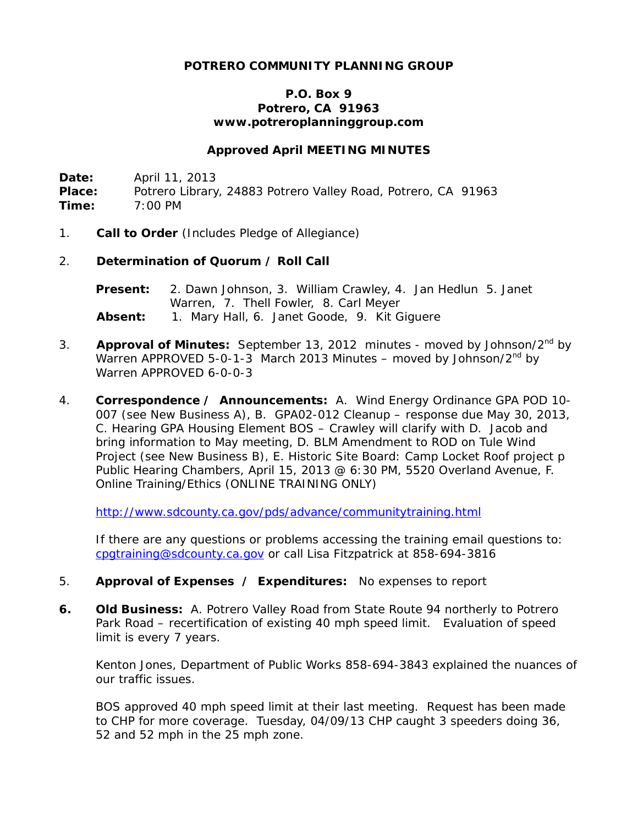## **POTRERO COMMUNITY PLANNING GROUP**

#### **P.O. Box 9 Potrero, CA 91963 www.potreroplanninggroup.com**

#### **Approved April MEETING MINUTES**

**Date:** April 11, 2013 Place: Potrero Library, 24883 Potrero Valley Road, Potrero, CA 91963 **Time:** 7:00 PM

1. **Call to Order** (Includes Pledge of Allegiance)

#### 2. **Determination of Quorum / Roll Call**

**Present:** 2. Dawn Johnson, 3. William Crawley, 4. Jan Hedlun 5. Janet Warren, 7. Thell Fowler, 8. Carl Meyer **Absent:** 1. Mary Hall, 6. Janet Goode, 9. Kit Giguere

- 3. **Approval of Minutes:** September 13, 2012 minutes moved by Johnson/2nd by Warren APPROVED 5-0-1-3 March 2013 Minutes – moved by Johnson/ $2^{nd}$  by Warren APPROVED 6-0-0-3
- 4. **Correspondence / Announcements:** A. Wind Energy Ordinance GPA POD 10- 007 (see New Business A), B. GPA02-012 Cleanup – response due May 30, 2013, C. Hearing GPA Housing Element BOS – Crawley will clarify with D. Jacob and bring information to May meeting, D. BLM Amendment to ROD on Tule Wind Project (see New Business B), E. Historic Site Board: Camp Locket Roof project p Public Hearing Chambers, April 15, 2013 @ 6:30 PM, 5520 Overland Avenue, F. Online Training/Ethics (ONLINE TRAINING ONLY)

<http://www.sdcounty.ca.gov/pds/advance/communitytraining.html>

If there are any questions or problems accessing the training email questions to: [cpgtraining@sdcounty.ca.gov](mailto:cpgtraining@sdcounty.ca.gov) or call Lisa Fitzpatrick at 858-694-3816

- 5. **Approval of Expenses / Expenditures:** No expenses to report
- **6. Old Business:** A. Potrero Valley Road from State Route 94 northerly to Potrero Park Road – recertification of existing 40 mph speed limit. Evaluation of speed limit is every 7 years.

Kenton Jones, Department of Public Works 858-694-3843 explained the nuances of our traffic issues.

BOS approved 40 mph speed limit at their last meeting. Request has been made to CHP for more coverage. Tuesday, 04/09/13 CHP caught 3 speeders doing 36, 52 and 52 mph in the 25 mph zone.